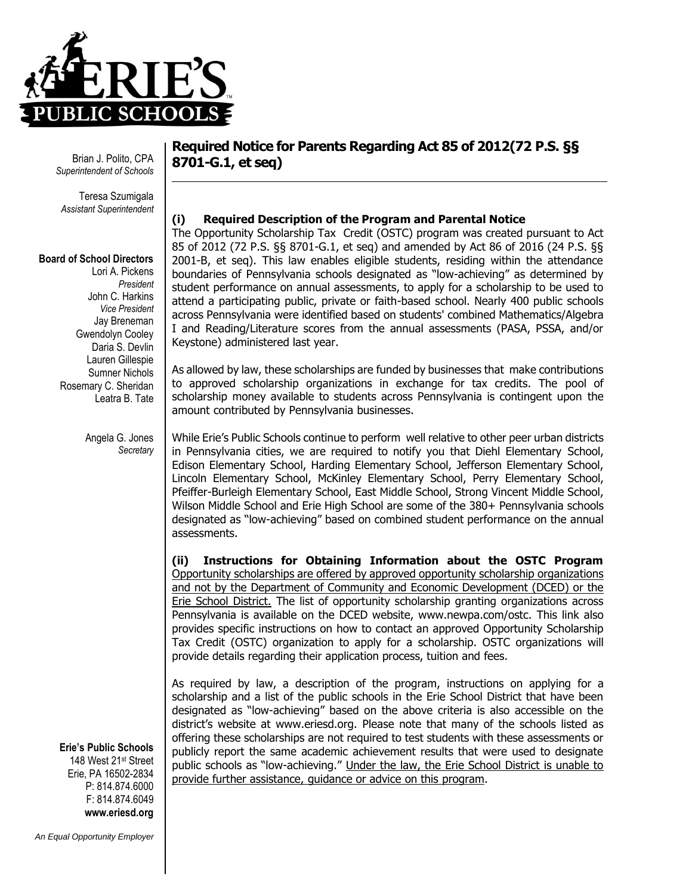

Brian J. Polito, CPA *Superintendent of Schools*

Teresa Szumigala *Assistant Superintendent*

## **Board of School Directors**

Lori A. Pickens *President* John C. Harkins *Vice President* Jay Breneman Gwendolyn Cooley Daria S. Devlin Lauren Gillespie Sumner Nichols Rosemary C. Sheridan Leatra B. Tate

> Angela G. Jones *Secretary*

## **Required Notice for Parents Regarding Act 85 of 2012(72 P.S. §§ 8701-G.1, et seq)**

## **(i) Required Description of the Program and Parental Notice**

The Opportunity Scholarship Tax Credit (OSTC) program was created pursuant to Act 85 of 2012 (72 P.S. §§ 8701-G.1, et seq) and amended by Act 86 of 2016 (24 P.S. §§ 2001-B, et seq). This law enables eligible students, residing within the attendance boundaries of Pennsylvania schools designated as "low-achieving" as determined by student performance on annual assessments, to apply for a scholarship to be used to attend a participating public, private or faith-based school. Nearly 400 public schools across Pennsylvania were identified based on students' combined Mathematics/Algebra I and Reading/Literature scores from the annual assessments (PASA, PSSA, and/or Keystone) administered last year.

As allowed by law, these scholarships are funded by businesses that make contributions to approved scholarship organizations in exchange for tax credits. The pool of scholarship money available to students across Pennsylvania is contingent upon the amount contributed by Pennsylvania businesses.

While Erie's Public Schools continue to perform well relative to other peer urban districts in Pennsylvania cities, we are required to notify you that Diehl Elementary School, Edison Elementary School, Harding Elementary School, Jefferson Elementary School, Lincoln Elementary School, McKinley Elementary School, Perry Elementary School, Pfeiffer-Burleigh Elementary School, East Middle School, Strong Vincent Middle School, Wilson Middle School and Erie High School are some of the 380+ Pennsylvania schools designated as "low-achieving" based on combined student performance on the annual assessments.

**(ii) Instructions for Obtaining Information about the OSTC Program** Opportunity scholarships are offered by approved opportunity scholarship organizations and not by the Department of Community and Economic Development (DCED) or the Erie School District. The list of opportunity scholarship granting organizations across Pennsylvania is available on the DCED website, [www.newpa.com/ostc.](http://www.newpa.com/ostc) This link also provides specific instructions on how to contact an approved Opportunity Scholarship Tax Credit (OSTC) organization to apply for a scholarship. OSTC organizations will provide details regarding their application process, tuition and fees.

As required by law, a description of the program, instructions on applying for a scholarship and a list of the public schools in the Erie School District that have been designated as "low-achieving" based on the above criteria is also accessible on the district's website at [www.eriesd.org.](http://www.eriesd.org/) Please note that many of the schools listed as offering these scholarships are not required to test students with these assessments or publicly report the same academic achievement results that were used to designate public schools as "low-achieving." Under the law, the Erie School District is unable to provide further assistance, guidance or advice on this program.

**Erie's Public Schools** 148 West 21st Street

Erie, PA 16502-2834 P: 814.874.6000 F: 814.874.6049 **www.eriesd.org**